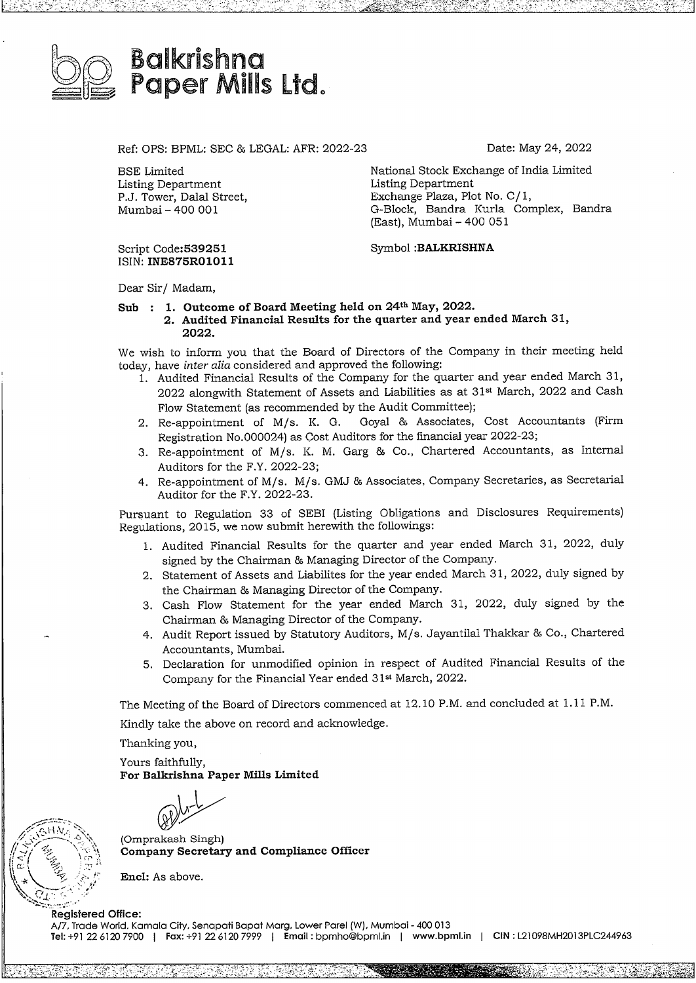

# Balkrishna Paper Mills Lid.

Ref: OPS: BPML: SEC & LEGAL: AFR: 2022-23

Date: May 24, 2022

National Stock Exchange of India Limited Listing Department Exchange Plaza, Plot No. C/ 1, G-Block, Bandra Kurla Complex, Bandra (East), Mumbai- <sup>400</sup> <sup>051</sup>

Script Code:539251 ISIN: **INE875R01011** Symbol **:BALKRISHNA**

Dear Sir/ Madam,

Listing Department P.J. Tower, Dalal Street, Mumbai- <sup>400</sup> 001

BSE Limited

#### **Sub :** 1. Outcome of Board Meeting held on 24<sup>th</sup> May, 2022. **2. Audited Financial Results for the quarter and year ended March 31, 2022.**

We wish to inform you that the Board of Directors of the Company in their meeting held<br>today, have *inter alia* considered and approved the following:<br>the system and year anded March 31 today, have *inter alia* considered and approved the following:<br>1. Audited Financial Results of the Company for the quarter and year ended March 31,

- 2022 alongwith Statement of Assets and Liabilities as at 31<sup>st</sup> March, 2022 and Cash Flow Statement (as recommended by the Audit Committee);
- 2. Re-appointment of M/s. K. G. Goyal & Associates, Cost Accountants (Firm Registration No.000024) as Cost Auditors for the financial year 2022-23;
- 3. Re-appointment of M/s. K. M. Garg & Co., Chartered Accountants, as Internal Auditors for the F.Y. 2022-23;
- 4. Re-appointment of M/s. M/s. GMJ & Associates, Company Secretaries, as Secretarial Auditor for the F.Y. 2022-23.

Pursuant to Regulation 33 of SEBI (Listing Obligations and Disclosures Requirements) Regulations, 2015, we now submit herewith the followings:

- 1. Audited Financial Results for the quarter and year ended March 31, 2022, duly signed by the Chairman & Managing Director of the Company.
- 2. Statement of Assets and Liabilites for the year ended March 31, 2022, duly signed by the Chairman & Managing Director of the Company.
- 3. Cash Flow Statement for the year ended March 31, 2022, duly signed by the Chairman & Managing Director of the Company.
- 4. Audit Report issued by Statutory Auditors, M/s. Jayantilal Thakkar & Co., Chartered Accountants, Mumbai.
- 5. Declaration for unmodified opinion in respect of Audited Financial Results of the Company for the Financial Year ended 31<sup>st</sup> March, 2022.

The Meeting of the Board of Directors commenced at 12.10 P.M. and concluded at 1.11 P.M.

Kindly take the above on record and acknowledge.

Thanking you,

Yours faithfully, **For Balkrishna Paper Mills Limited**

(Omprakash Singh) **Company Secretary and Compliance Officer**



#### **Registered Office:**

A/7, Trade World. Kamala City, Senapati Bapat Marg. Lower Parel (W), Mumbai-400 <sup>013</sup> **Tel:** +91 22 6120 7900 <sup>I</sup> **Fax:** +91 22 6120 7999 <sup>I</sup> **Email :** bpmho@bpml.in <sup>I</sup> **www.bpml.in** <sup>I</sup> **CIN:** L21098MH2013PLC244963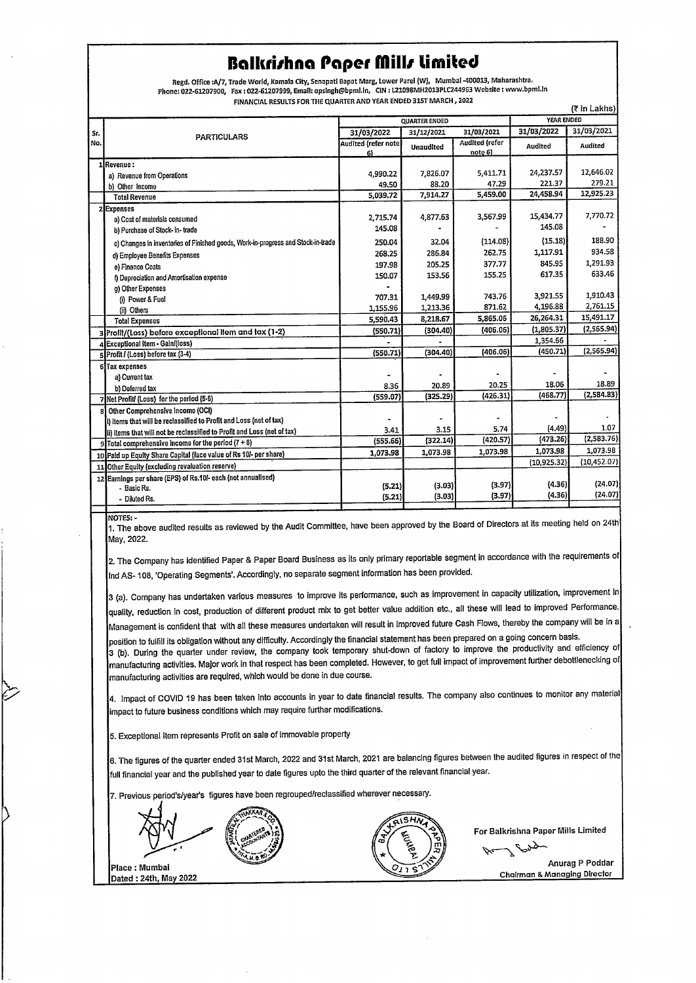## **Balk«iuhno Paper ills limited**

Regd, Office :A/7, Trade World, Kamala City, Senapati Bapat Marg, Lower Pare! (WI, Mumbai -400013, Maharashtra. Phone: 022-61207900, Fax : OZZ-61207999, Email: opsingh@bpml.in, CIN: LZ1098MHZ013PLCZ44963 Website : www.bpml.in FINANCIAL RESULTS FOR THE QUARTER AND YEAR ENDED 31ST MARCH , *2022*

 $(\text{\texttt{F}}$  in Lakhs) QUARTER ENDED Sr.<br>No. PARTICULARS 31/03/2022 31/12/ZOZl 31/03/2021 31/03/2022 31/03/2021 No.<br>No. Audited (refer note G) Audited (refer note G) Audited (refer note G) Audited (refer note G) Unaudited note 6l Audited Audited <sup>1</sup> Revenue: a) Revenue a Carteria (a 1990.22 7,826.07 5,411.71 24,237.57 12,646.02<br>
21.37 12,646.02<br>
A) Other Income b) Olher Income 49.50 88.20 47.29 221.37 279.21 Total Revenue 5,039.72 7,914.27 5,459.00 24,458.94 12,925.23 2 Expenses a) Cost of materials consumed and a consumed  $\frac{2,715.74}{145.08}$   $\begin{bmatrix} 2,715.74 \\ 4,877.63 \end{bmatrix}$   $\begin{bmatrix} 3,567.99 \\ 3,567.99 \end{bmatrix}$   $\begin{bmatrix} 15,434.77 \\ 145.08 \end{bmatrix}$   $\begin{bmatrix} 7,770.72 \\ 145.08 \end{bmatrix}$ b) Purchase of Stock- in- trade the Mork-in-process and Stock-in-trade 145.08 - 145.08 - 145.08 - 145.08 - 145.08 - 145.08 - 145.08 - 145.08 - 145.08 - 145.08 - 145.08 - 145.08 - 146.90 - 146.90 - 146.90 - 146.90 - 146.90 c) Changes in inventories of Finished goods, Work-in-progress and Stock-in-trade 250.04 32.04 (114.08) (15.18) 188.90<br>Al Employee Benefits Expanses and Stock-in-trade 268.25 286.84 262.75 1,117.91 934.58 d) Employee Benefits Expenses 268.25 266.25 286.84 262.75 1,117.91 934.58<br>268.25 205.25 377.77 845.95 1,291.93 e) Finance Costs 197.99 205.25 377.77 845.95 377.77 345.95 1,291.93 f) Finance Costs 1,291.93 1,291.93 1,291.93 1,291.93 1,291.93 1,291.93 1,291.93<br>153.56 155.25 617.35 633.46 155.25 633.46 g) Other Expenses and the second second second second second second second second second second second second second second second second second second second second second second second second second second second second (i) Power& Fuel 707.31 1,449.99 743.76 3,921.55 1,910.43 (i) Others 2,761.15 Total Expenses 5,590.43 8,218.67 5,865.06 26,264.31 15,491.17 <sup>3</sup> Proflt/(Loss) before exceptional Item and tax (1-2) (550.71) (304.40) (406.06) (1,805.37) (2,565.94) 4 Exceptional Item - Gain/(loss) 1,354.66<br>  $\frac{1}{4}$  Exceptional Item - Gain/(loss) 1,354.66 - 1,354.66 - 1,550.71) 1,496.06 - 1,450.71) 1,450.71) 1,450 Profit / (Loss) before tax (3-4) **(550.71)** (304.40) (406.06) (450.71) (2,565.94) 6 Tax expenses a) Current tax - - - - b) Deferred tax 8.36 20.89 20.25 18.06 18.89 18.05 18.89 19.26 18.89 19.26 18.89 19.26 18.89 19.26 18.89 19.26 18.89 19.26 18.89 19.26 18.89 19.26 19.584.83) (468.77) (2,584.83) Other Comprehensive Income (OCI) I) Items that will be reclassified to Profit and Loss (net of tax)  $3.41$   $3.42$   $5.74$   $(4.49)$ I) Items that will not be reclassified to Profit and Loss (net of tax) 3.41 3.15 5.74  $(4.49)$  1.07<br>ii) Items that will not be reclassified to Profit and Loss (net of tax) 3.41 3.22.14) (420.57) (473.26) (2,583.76  $9$  Total comprehensive income for the period ( $7 + 8$ )  $(2,583.76)$ <br>1.073.98 1.073.98 1.073.98 1.073.98 1.073.98 1.073.98 1.073.98 1.073.98 1.073.98 1.073.98 1.073.98 1.073.98 1.073.98 1.073.98 1.073.98 1.073.98 1.073.98 1.073.98 1.073.98 1.073.98 1.073.98 1.073.98 1.073.98 1.073.98 1.073.98 1.073. 11 Other Equity (excluding revaluation reserve)  $(10, 452.07)$ <sup>12</sup> Eamings per share (EPS) of Rs.10/- each (not annualised) - Basic Rs. (5.21) (3.03) (3.97) (4.36) (24.07) - Dibited Rs. (5.21) (3.03) (3.03) (3.97) (4.36) (3.03) (4.36) (24.07)

*V*

NOTES: - 1. The above audited results as reviewed by the Audit Committee, have been approved by the Board of Directors at its meeting held on 24th May, 2022.

2. The Company has identified Paper & Paper Board Business as its only primary reportable segment in accordance with the requirements of Ind AS- 108, 'Operating Segments'. Accordingly, no separate segment information has been provided.

<sup>3</sup> (a). Company has undertaken various measures to improve its performance, such as improvement in capacity utilization, improvement in quality, reduction in cost, production of different product mix to get better value addition etc., all these will lead to improved Performance. Management is confident that with all these measures undertaken will result in improved future Cash Flows, thereby the company will be in a

position to fulfill its obligation without any difficulty. Accordingly the financial statement has been prepared on a going concern basis. <sup>3</sup> (b). During the quarter under review, the company took temporary shut-down of factory to improve the productivity and efficiency of manufacturing activities. Major work in that respect has been completed. However, to get full impact of improvement further debottlenecking of manufacturing activities are required, which would be done in due course.

4. Impact of COVID 19 has been taken into accounts in year to date financial results. The company also continues to monitor any material impact to future business conditions which may require further modifications.

5. Exceptional Item represents Profit on sale of immovable property

6. The figures of the quarter ended 31st March, 2022 and 31st March, 2021 are balancing figures between the audited figures in respect of the full financial year and the published year to date figures upto the third quarter of the relevant financial year. **Figures between the audited figures between the audited figures of the audited figures of the audited figures of the Balkrishna Paper Chalman &** *I***<br>
For Balkrishna Paper Chalman &** *I* 

7. Previous period's/year's figures have been regrouped/reclassified wherever necessary.<br>  $\begin{pmatrix}\n\sqrt{1.5H/M} \\
\sqrt{2.5H/M} \\
\sqrt{2.5H/M}\n\end{pmatrix}$ **RAKKAR 200** CHARTERED Place : Mumbai **Gi«8°**'

Dated : 24th, Mav 2022



Anurag <sup>P</sup> Poddar zer..a Chairman & Managing Director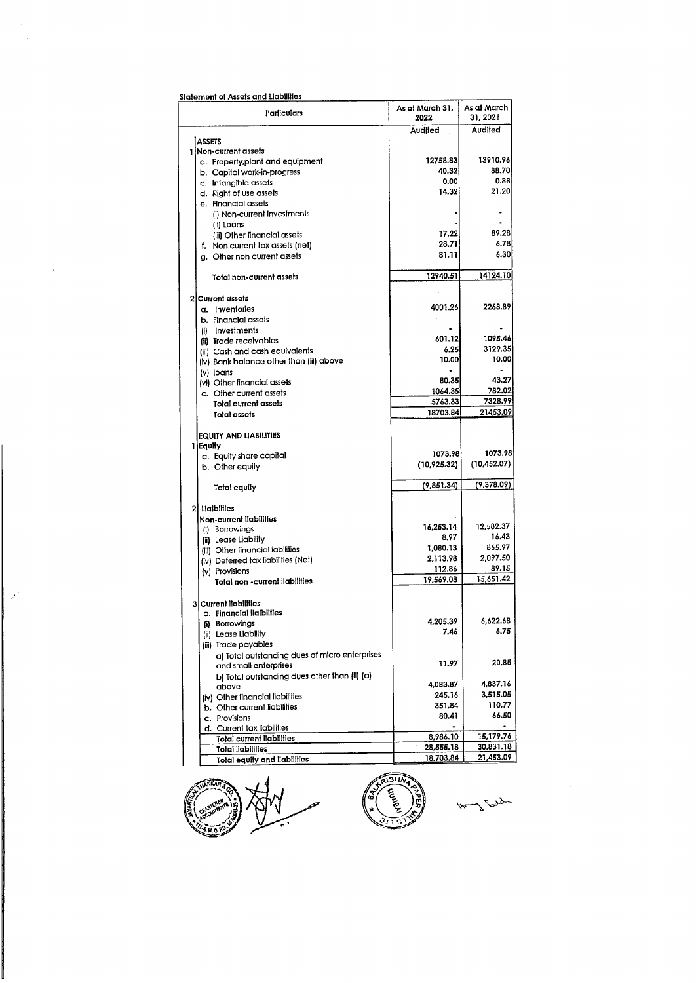| <b>Statement of Assets and Liabilities</b> |  |
|--------------------------------------------|--|
|                                            |  |

| Particulars                                                             | As at March 31,<br>2022 | As at March<br>31, 2021 |
|-------------------------------------------------------------------------|-------------------------|-------------------------|
|                                                                         | Audited                 | <b>Audited</b>          |
| <b>ASSETS</b>                                                           |                         |                         |
| 1 Non-current assets                                                    |                         |                         |
| a. Property, plant and equipment                                        | 12758.83                | 13910.96                |
| b. Capital work-in-progress                                             | 40.32                   | 88.70                   |
| c. Intangible assets                                                    | 0.00                    | 0.88                    |
| d. Right of use assets                                                  | 14.32                   | 21.20                   |
| e. Financial assets                                                     |                         |                         |
| (i) Non-current investments                                             |                         |                         |
| (ii) Loans                                                              |                         |                         |
| (iii) Other financial assets                                            | 17.22                   | 89.28                   |
| f. Non current tax assets (net)                                         | 28.71                   | 6.78                    |
| g. Other non current assets                                             | 81.11                   | 6.30                    |
| Total non-current assets                                                | 12940.51                | 14124.10                |
|                                                                         |                         |                         |
| 2 Current assets                                                        |                         |                         |
| a. Inventories                                                          | 4001.26                 | 2268.89                 |
| b. Financial assets                                                     |                         |                         |
| (i) Investments                                                         |                         |                         |
| (ii) Trade receivables                                                  | 601.12                  | 1095.46                 |
| (iii) Cash and cash equivalents                                         | 6.25                    | 3129.35                 |
| (iv) Bank balance other than (iii) above                                | 10.00                   | 10.00                   |
| (v) loans                                                               |                         | ٠                       |
| (vi) Other financial assets                                             | 80.35                   | 43.27                   |
| c. Other current assets                                                 | 1064.35                 | 782.02                  |
| <b>Total current assets</b>                                             | 5763.33                 | 7328.99                 |
| <b>Total assets</b>                                                     | 18703.84                | 21453.09                |
| EQUITY AND LIABILITIES<br>1 Equity<br>a. Equity share capital           | 1073.98<br>(10, 925.32) | 1073.98<br>(10, 452.07) |
| b. Other equily                                                         |                         |                         |
| Total equity                                                            | (9,851.34)              | (9,378.09)              |
|                                                                         |                         |                         |
| 2 Lialblities                                                           |                         |                         |
| Non-current liabilities<br>(i) Borrowings                               | 16,253.14               | 12,582.37               |
| (ii) Lease Liability                                                    | 8.97                    | 16.43                   |
| (iii) Other financial iabilities                                        | 1,080.13                | 865.97                  |
| (iv) Deferred tax liabilities (Net)                                     | 2,113.98                | 2,097.50                |
|                                                                         | 112.86                  | 89.15                   |
| (v) Provisions<br>Total non -current liabilities                        | 19,569.08               | 15,651.42               |
|                                                                         |                         |                         |
| <b>3 Current liabilities</b>                                            |                         |                         |
| a. Financial lialbililes                                                |                         |                         |
| (i) Borrowings                                                          | 4,205.39                | 6,622.68                |
| (ii) Lease Liability                                                    | 7.46                    | 6.75                    |
| (iii) Trade payables                                                    |                         |                         |
| a) Total outstanding dues of micro enterprises<br>and small enterprises | 11.97                   | 20.85                   |
| b) Total outstanding dues other than (ii) (a)                           |                         |                         |
| above                                                                   | 4,083.87                | 4,837.16                |
| (iv) Other financial liabilities                                        | 245.16                  | 3,515.05                |
| b. Other current liabilities                                            | 351.84                  | 110.77                  |
| c. Provisions                                                           | 80.41                   | 66.50                   |
| d. Current tax liabilities                                              |                         |                         |
| <b>Total current liabilities</b>                                        | 8,986.10                | 15,179.76               |
| <b>Total liabilities</b>                                                | 28,555.18               | 30,831.18               |
| <b>Total equity and liabilities</b>                                     | 18,703.84               | 21,453.09               |



 $\hat{\mathcal{L}}$ 

**AISHA** C. Andrew

of Surger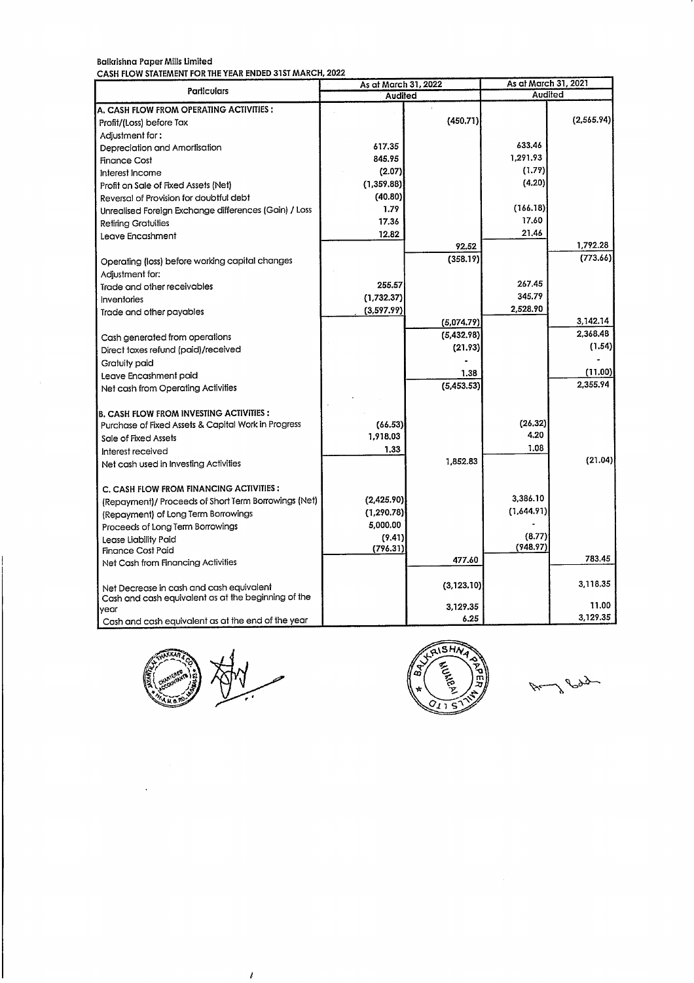#### Balkrlshna Paper Mills Limited CASH FLOW STATEMENT FOR THE YEAR ENDED 31ST MARCH, 2022

|                                                       | As at March 31, 2022<br>Audited |             | As at March 31, 2021<br>Audited |            |
|-------------------------------------------------------|---------------------------------|-------------|---------------------------------|------------|
| Particulars                                           |                                 |             |                                 |            |
| A. CASH FLOW FROM OPERATING ACTIVITIES:               |                                 |             |                                 |            |
| Profit/(Loss) before Tax                              |                                 | (450.71)    |                                 | (2,565.94) |
| Adjustment for:                                       |                                 |             |                                 |            |
| Depreciation and Amortisation                         | 617.35                          |             | 633.46                          |            |
| <b>Finance Cost</b>                                   | 845.95                          |             | 1,291.93                        |            |
| Interest Income                                       | (2.07)                          |             | (1.79)                          |            |
| Profit on Sale of Fixed Assets (Net)                  | (1, 359.88)                     |             | (4.20)                          |            |
| Reversal of Provision for doubtful debt               | (40.80)                         |             |                                 |            |
| Unrealised Foreign Exchange differences (Gain) / Loss | 1.79                            |             | (166.18)                        |            |
| <b>Retiring Gratuities</b>                            | 17.36                           |             | 17.60                           |            |
| Leave Encashment                                      | 12.82                           |             | 21.46                           |            |
|                                                       |                                 | 92.52       |                                 | 1,792.28   |
| Operating (loss) before working capital changes       |                                 | (358.19)    |                                 | (773.66)   |
| Adjustment for:                                       |                                 |             |                                 |            |
| Trade and other receivables                           | 255.57                          |             | 267.45                          |            |
| Inventories                                           | (1,732,37)                      |             | 345.79                          |            |
| Trade and other payables                              | (3, 597.99)                     |             | 2,528.90                        |            |
|                                                       |                                 | (5,074.79)  |                                 | 3,142.14   |
| Cash generated from operations                        |                                 | (5,432.98)  |                                 | 2,368.48   |
| Direct taxes refund (paid)/received                   |                                 | (21.93)     |                                 | (1.54)     |
| Gratuity paid                                         |                                 |             |                                 |            |
| Leave Encashment paid                                 |                                 | 1.38        |                                 | (11.00)    |
| Net cash from Operating Activities                    |                                 | (5,453.53)  |                                 | 2.355.94   |
|                                                       |                                 |             |                                 |            |
| B. CASH FLOW FROM INVESTING ACTIVITIES:               |                                 |             |                                 |            |
| Purchase of Fixed Assets & Capital Work in Progress   | (66, 53)                        |             | (26.32)                         |            |
| Sale of Fixed Assets                                  | 1,918.03                        |             | 4.20                            |            |
| Interest received                                     | 1,33                            |             | 1.08                            |            |
| Net cash used in Investing Activities                 |                                 | 1,852.83    |                                 | (21.04)    |
|                                                       |                                 |             |                                 |            |
| C. CASH FLOW FROM FINANCING ACTIVITIES:               |                                 |             |                                 |            |
| (Repayment)/ Proceeds of Short Term Borrowings (Net)  | (2,425.90)                      |             | 3,386.10                        |            |
| (Repayment) of Long Term Borrowings                   | (1, 290.78)                     |             | (1,644.91)                      |            |
| Proceeds of Long Term Borrowings                      | 5,000.00                        |             |                                 |            |
| Lease Liability Paid                                  | (9.41)                          |             | (8.77)                          |            |
| <b>Finance Cost Paid</b>                              | (796.31)                        |             | (948.97)                        |            |
| Net Cash from Financing Activities                    |                                 | 477.60      |                                 | 783.45     |
|                                                       |                                 |             |                                 |            |
| Net Decrease in cash and cash equivalent              |                                 | (3, 123.10) |                                 | 3,118.35   |
| Cash and cash equivalent as at the beginning of the   |                                 |             |                                 |            |
| year                                                  |                                 | 3,129.35    |                                 | 11.00      |
| Cash and cash equivalent as at the end of the year    |                                 | 6.25        |                                 | 3,129.35   |



 $\pmb{\ell}$ 

 $\ddot{\phantom{a}}$ 

 $\sim$ 



Army Road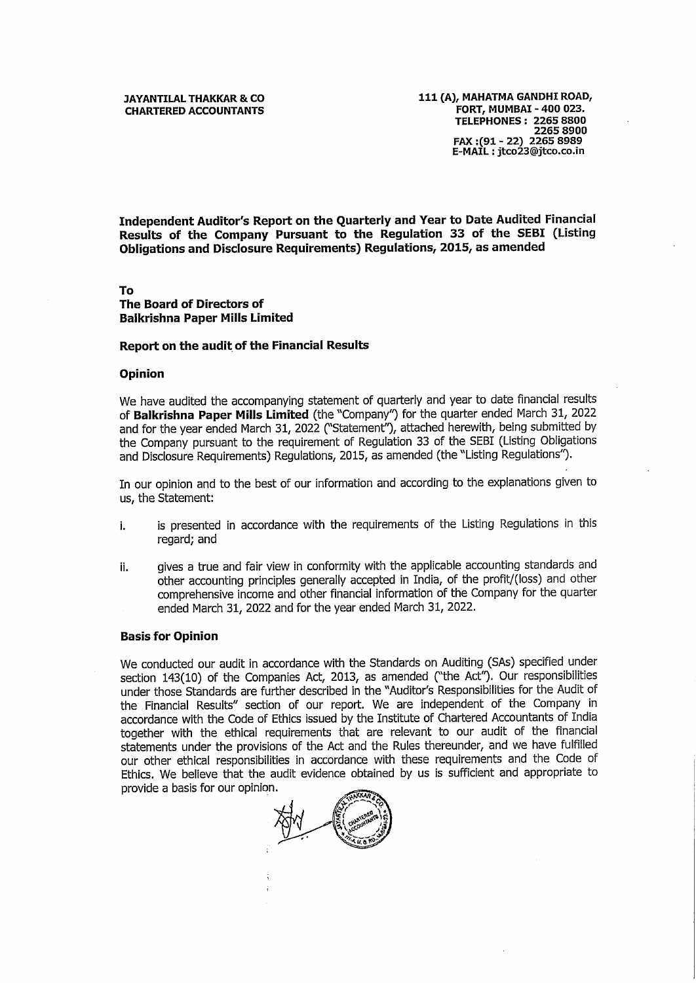**Independent Auditor's Report on the Quarterly and Year to Date Audited Financial Results of the Company Pursuant to the Regulation <sup>33</sup> of the SEBI (Listing Obligations and Disclosure Requirements) Regulations, 2015, as amended**

#### **To The Board of Directors of Balkrishna Paper Mills Limited**

#### **Report** on the audit of the Financial Results

#### **Opinion**

We have audited the accompanying statement of quarterly and year to date financial results of **Balkrishna Paper Mills Limited** (the "Company'') for the quarter ended March 31, 2022 and for the year ended March 31, <sup>2022</sup> ("Statement"), attached herewith, being submitted by the Company pursuant to the requirement of Regulation 33 of the SEBI (Listing Obligations and Disclosure Requirements) Regulations, 2015, as amended (the "Listing Regulations").

In our opinion and to the best of our information and according to the explanations given to us, the Statement:

- i. is presented in accordance with the requirements of the Listing Regulations in this regard; and
- ii. gives a true and fair view in conformity with the applicable accounting standards and other accounting principles generally accepted in India, of the profit/(loss) and other comprehensive income and other financial information of the Company for the quarter ended March 31, 2022 and for the year ended March 31, 2022.

#### **Basis for Opinion**

We conducted our audit in accordance with the Standards on Auditing(SAs) specified under section 143(10) of the Companies Act, 2013, as amended ("the Act"). Our responsibilities under those Standards are further described in the "Auditor's Responsibilities for the Audit of the Financial Results" section of our report. We are independent of the Company in accordance with the Code of Ethics issued by the Institute of Chartered Accountants of India together with the ethical requirements that are relevant to our audit of the financial statements under the provisions of the Act and the Rules thereunder, and we have fulfilled our other ethical responsibilities in accordance with these requirements and the Code of Ethics. We believe that the audit evidence obtained by us is sufficient and appropriate to<br>provide a basis for our opinion. provide a basis for our opinion.

*s r~,* **WAKKAR 200** t **- 1997 ENARTES CIERED 122** CHARLENDA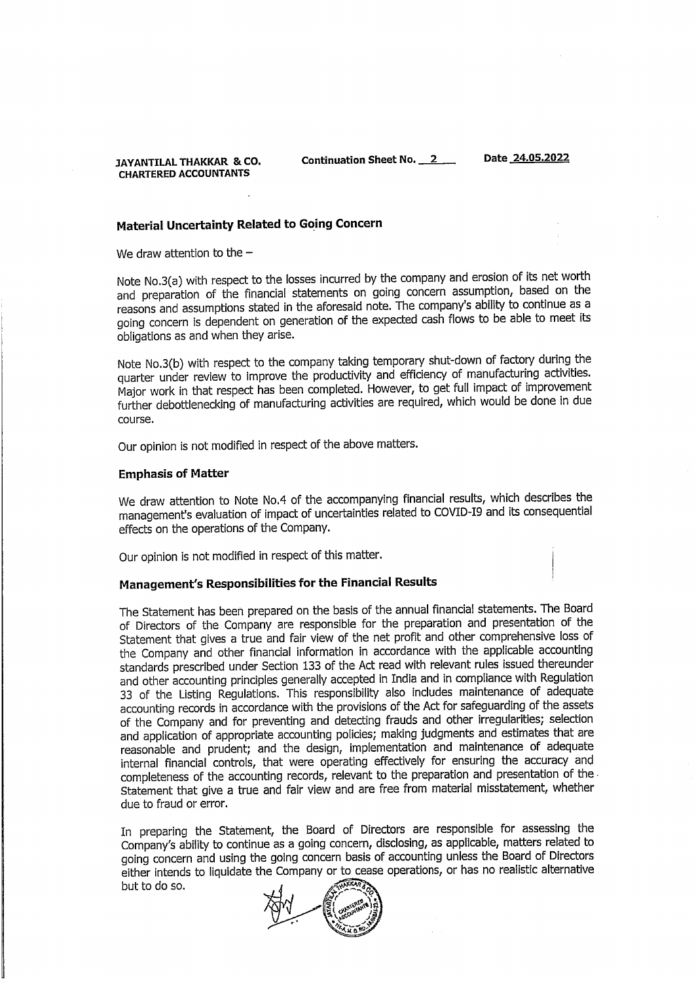**JAYANTILAL THAKKAR & CO. CHARTERED ACCOUNTANTS**

**Continuation Sheet No. <sup>2</sup> Date 24.05.2022**

#### **Material Uncertainty Related to Going Concern**

We draw attention to the  $-$ 

Note No.3(a) with respect to the losses incurred by the company and erosion of its net worth and preparation of the financial statements on going concern assumption, based on the reasons and assumptions stated in the aforesaid note. The company's ability to continue as <sup>a</sup> going concern is dependent on generation of the expected cash flows to be able to meet its obligations as and when they arise.

Note No.3(b) with respect to the company taking temporary shut-down of factory during the quarter under review to improve the productivity and efficiency of manufacturing activities. Major work in that respect has been completed. However, to get full impact of improvement further debottlenecking of manufacturing activities are required, which would be done in due course.

Our opinion is not modified in respect of the above matters.

#### **Emphasis of Matter**

We draw attention to Note No.4 of the accompanying financial results, which describes the management's evaluation of impact of uncertainties related to COVID-I9 and its consequential effects on the operations of the Company.

Our opinion is not modified in respect of this matter.

### **Management's Responsibilities for the Financial Results**

The Statement has been prepared on the basis of the annual financial statements. The Board of Directors of the Company are responsible for the preparation and presentation of the Statement that gives a true and fair view of the net profit and other comprehensive loss of the Company and other financial information in accordance with the applicable accounting standards prescribed under Section 133 of the Act read with relevant rules issued thereunder and other accounting principles generally accepted in India and in compliance with Regulation 33 of the Listing Regulations. This responsibility also includes maintenance of adequate accounting records in accordance with the provisions of the Act for safeguarding of the assets of the Company and for preventing and detecting frauds and other irregularities; selection and application of appropriate accounting policies; making judgments and estimates that are reasonable and prudent; and the design, implementation and maintenance of adequate internal financial controls, that were operating effectively for ensuring the accuracy and completeness of the accounting records, relevant to the preparation and presentation of the. Statement that give a true and fair view and are free from material misstatement, whether due to fraud or error.

In preparing the Statement, the Board of Directors are responsible for assessing the Company's ability to continue as <sup>a</sup> going concern, disclosing, as applicable, matters related to going concern and using the going concern basis of accounting unless the Board of Directors either intends to liquidate the Company or to cease operations, or has no realistic alternative but to do so.

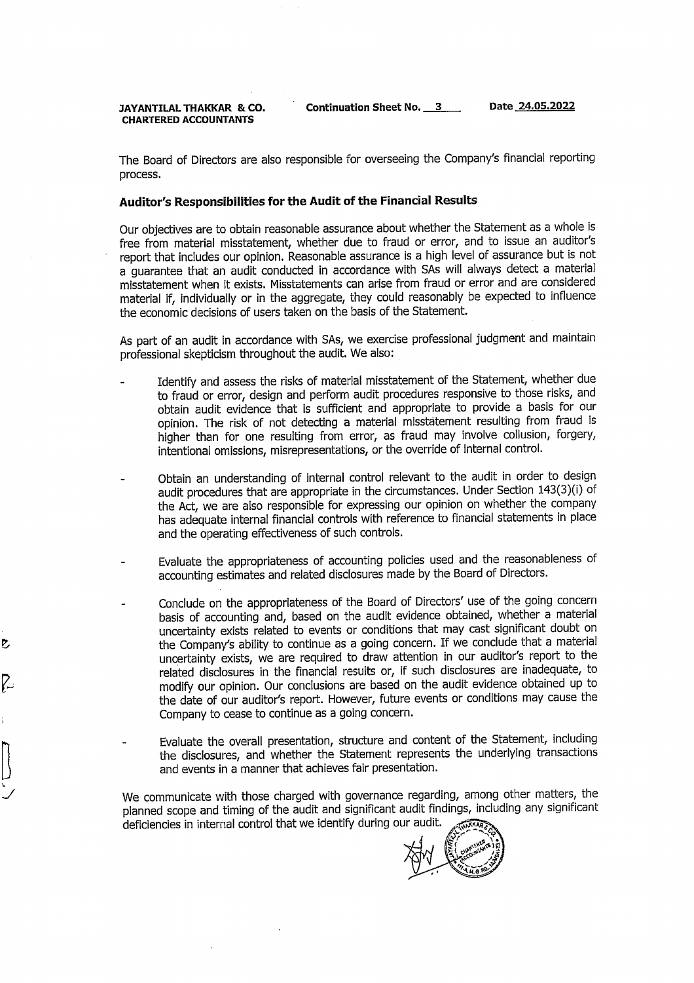**JAYANTILAL THAKKAR & CO. CHARTERED ACCOUNTANTS**

*-1*

Þ,

The Board of Directors are also responsible for overseeing the Company's financial reporting process.

## **Auditor's Responsibilities for the Audit ofthe Financial Results**

Our objectives are to obtain reasonable assurance about whether the Statement as <sup>a</sup> whole is free from material misstatement, whether due to fraud or error, and to issue an auditor's report that includes our opinion. Reasonable assurance is a high level of assurance but is not a guarantee that an audit conducted in accordance with SAs will always detect a material misstatement when it exists. Misstatements can arise from fraud or error and are considered material if, individually or in the aggregate, they could reasonably be expected to influence the economic decisions of users taken on the basis of the Statement.

As part of an audit in accordance with SAs, we exercise professional judgment and maintain professional skepticism throughout the audit. We also:

- Identify and assess the risks of material misstatement of the Statement, whether due to fraud or error, design and perform audit procedures responsive to those risks, and obtain audit evidence that is sufficient and appropriate to provide <sup>a</sup> basis for our opinion. The risk of not detecting a material misstatement resulting from fraud is higher than for one resulting from error, as fraud may involve collusion, forgery, intentional omissions, misrepresentations, or the override of internal control.
- Obtain an understanding of internal control relevant to the audit in order to design audit procedures that are appropriate in the circumstances. Under Section 143(3)(i) of the Act, we are also responsible for expressing our opinion on whether the company has adequate internal financial controls with reference to financial statements in place and the operating effectiveness of such controls.
- Evaluate the appropriateness of accounting policies used and the reasonableness of accounting estimates and related disclosures made by the Board of Directors.
- Conclude on the appropriateness of the Board of Directors' use of the going concern basis of accounting and, based on the audit evidence obtained, whether a material uncertainty exists related to events or conditions that may cast significant doubt on the Company's ability to continue as <sup>a</sup> going concern. If we conclude that <sup>a</sup> material uncertainty exists, we are required to draw attention in our auditor's report to the related disclosures in the financial results or, if such disclosures are inadequate, to modify our opinion. Our conclusions are based on the audit evidence obtained up to the date of our auditor's report. However, future events or conditions may cause the Company to cease to continue as <sup>a</sup> going concern.
- Evaluate the overall presentation, structure and content of the Statement, including the disclosures, and whether the Statement represents the underlying transactions and events in a manner that achieves fair presentation.

We communicate with those charged with governance regarding, among other matters, the planned scope and timing of the audit and significant audit findings, including any significant deficiencies in internal control that we identify during our audi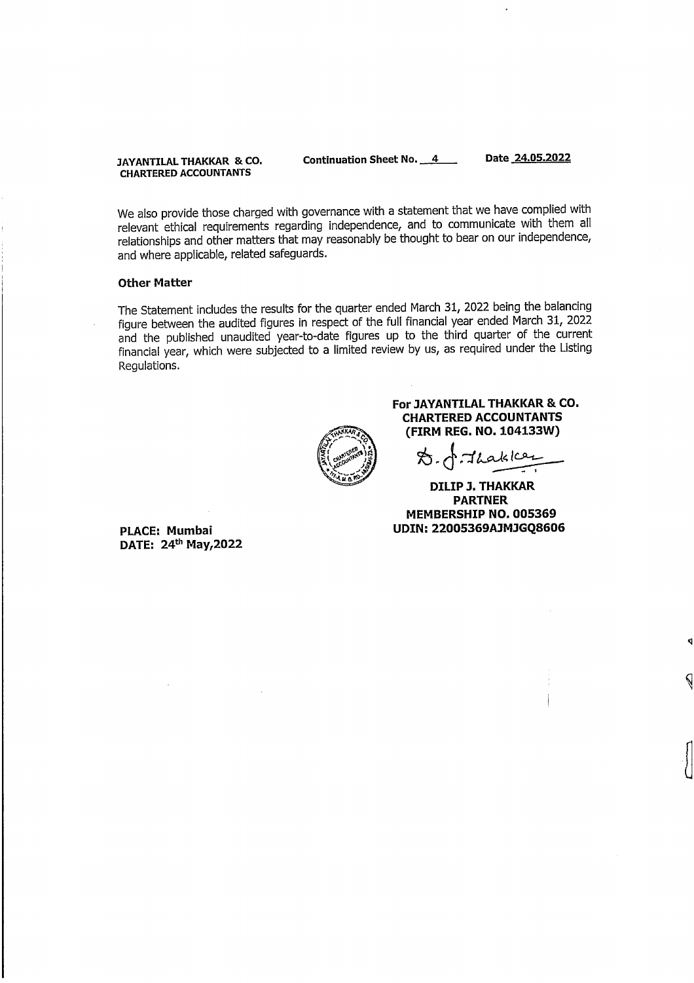#### **JAYANTILAL THAKKAR & CO. CHARTERED ACCOUNTANTS**

**Continuation Sheet No. <sup>4</sup> Date 24.05.2022**

We also provide those charged with governance with a statement that we have complied with relevant ethical requirements regarding independence, and to communicate with them all relationships and other matters that may reasonably be thought to bear on our independence, and where applicable, related safeguards.

#### **Other Matter**

The Statement includes the results for the quarter ended March 31, 2022 being the balancing figure between the audited figures in respect of the full financial year ended March 31, 2022 and the published unaudited year-to-date figures up to the third quarter of the current financial year, which were subjected to <sup>a</sup> limited review by us, as required under the Listing Regulations.



**For JAYANTILAL THAKKAR & CO. CHARTERED ACCOUNTANTS {FIRM REG. NO. 104133W)**

**ARTERED ACCOUNTANTS**<br>**IRM REG. NO. 104133W)**<br> $\lambda$ . dialeton

**DILIP J. THAKKAR PARTNER MEMBERSHIP NO. 005369 UDIN:22005369AJMJGQ8606**

**PLACE: Mumbai DATE: 24 May,2022**